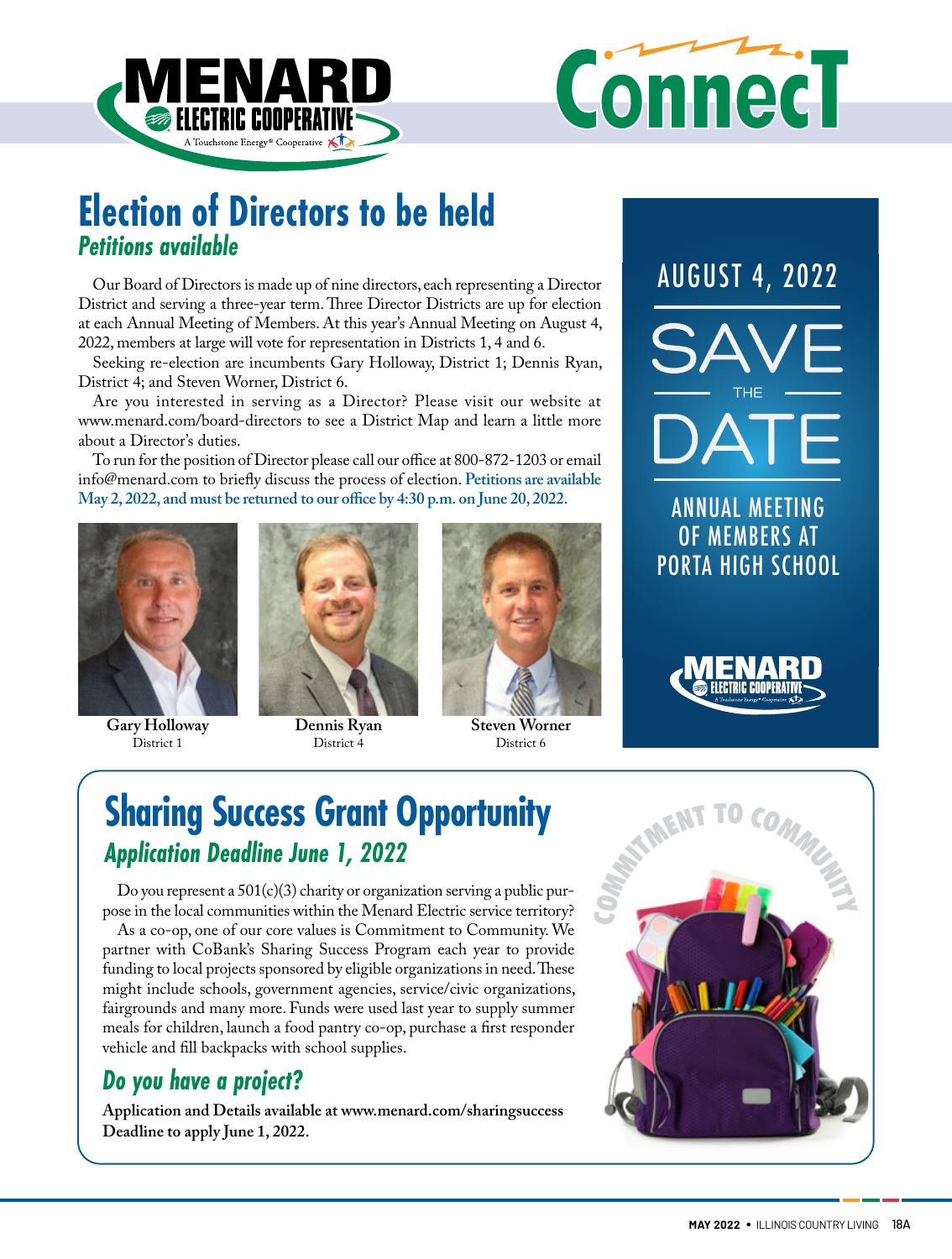



# **Election of Directors to be held** *Petitions available*

Our Board of Directors is made up of nine directors, each representing a Director District and serving a three-year term. Three Director Districts are up for election at each Annual Meeting of Members. At this year's Annual Meeting on August 4, 2022, members at large will vote for representation in Districts 1, 4 and 6.

Seeking re-election are incumbents Gary Holloway, District 1; Dennis Ryan, District 4; and Steven Worner, District 6.

Are you interested in serving as a Director? Please visit our website at www.menard.com/board-directors to see a District Map and learn a little more about a Director's duties.

To run for the position of Director please call our office at 800-872-1203 or email info@menard.com to briefly discuss the process of election. **Petitions are available May 2, 2022, and must be returned to our office by 4:30 p.m. on June 20, 2022.** ANNUAL MEETING



**Gary Holloway** District 1



**Dennis Ryan** District 4



District 6

OF MEMBERS AT PORTA HIGH SCHOOL AUGUST 4, 2022



# **Sharing Success Grant Opportunity**  *Application Deadline June 1, 2022*

Do you represent a 501(c)(3) charity or organization serving a public purpose in the local communities within the Menard Electric service territory?

As a co-op, one of our core values is Commitment to Community. We partner with CoBank's Sharing Success Program each year to provide funding to local projects sponsored by eligible organizations in need. These might include schools, government agencies, service/civic organizations, fairgrounds and many more. Funds were used last year to supply summer meals for children, launch a food pantry co-op, purchase a first responder vehicle and fill backpacks with school supplies.

### *Do you have a project?*

**Application and Details available at www.menard.com/sharingsuccess Deadline to apply June 1, 2022.** 

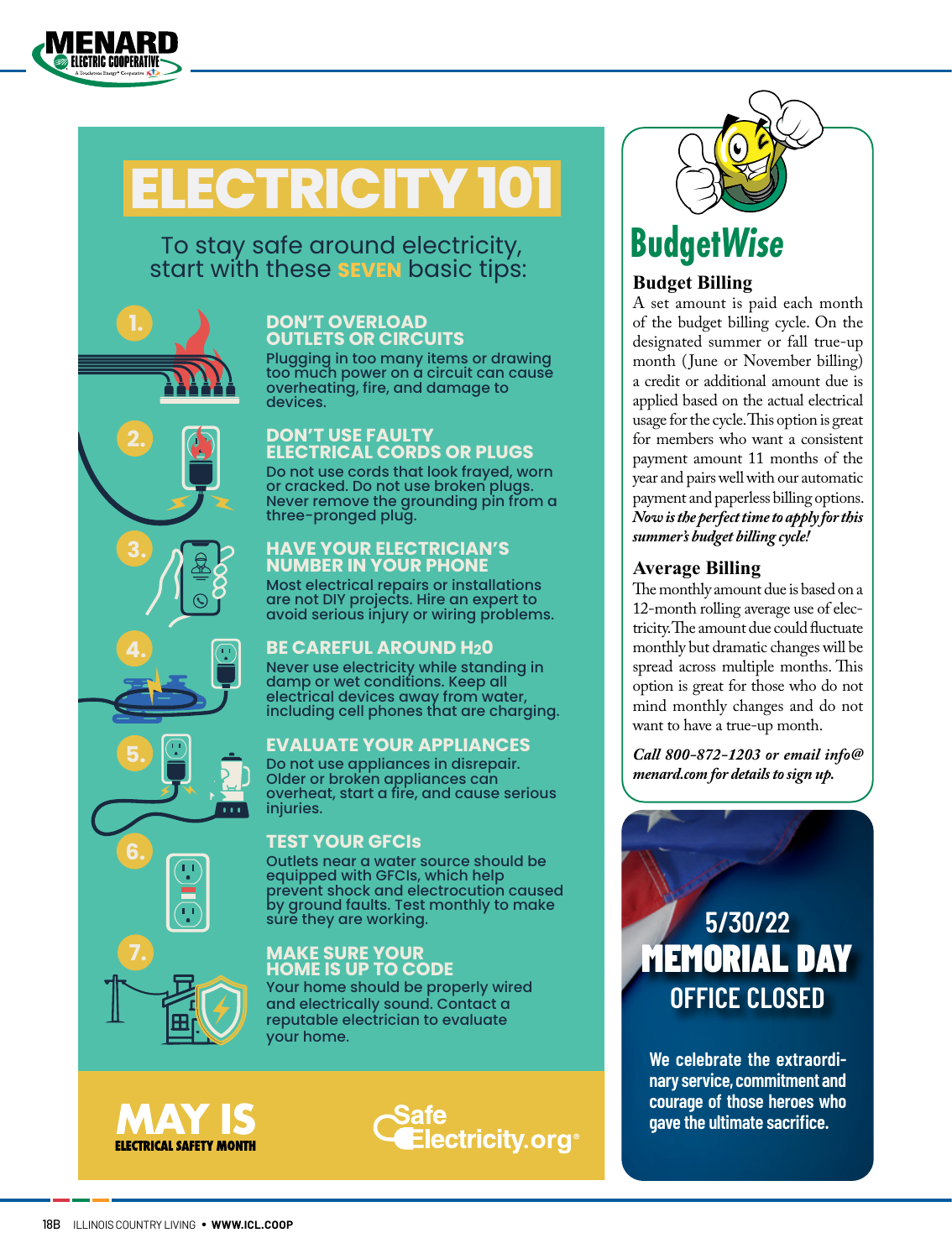

**2.**

**3.**

**4.**

**5.**

 $\overline{\mathbf{u}}$ 

**6.**

**7.**

# **ELECTRICITY 101**

### To stay safe around electricity, start with these **SEVEN** basic tips:

#### **DON'T OVERLOAD OUTLETS OR CIRCUITS**

Plugging in too many items or drawing too much power on a circuit can cause overheating, fire, and damage to devices.

#### **DON'T USE FAULTY ELECTRICAL CORDS OR PLUGS**

Do not use cords that look frayed, worn or cracked. Do not use broken plugs. Never remove the grounding pin from a three-pronged plug.

#### **HAVE YOUR ELECTRICIAN'S NUMBER IN YOUR PHONE**

Most electrical repairs or installations are not DIY projects. Hire an expert to avoid serious injury or wiring problems.

#### **BE CAREFUL AROUND H20**

Never use electricity while standing in damp or wet conditions. Keep all electrical devices away from water, including cell phones that are charging.

#### **EVALUATE YOUR APPLIANCES**

Do not use appliances in disrepair. Older or broken appliances can overheat, start a fire, and cause serious injuries.

#### **TEST YOUR GFCIs**

Outlets near a water source should be equipped with GFCIs, which help prevent shock and electrocution caused by ground faults. Test monthly to make sure they are working.

#### **MAKE SURE YOUR HOME IS UP TO CODE**

Your home should be properly wired and electrically sound. Contact a reputable electrician to evaluate your home.





# **Budget***Wise*

#### **Budget Billing**

A set amount is paid each month of the budget billing cycle. On the designated summer or fall true-up month (June or November billing) a credit or additional amount due is applied based on the actual electrical usage for the cycle. This option is great for members who want a consistent payment amount 11 months of the year and pairs well with our automatic payment and paperless billing options. *Now is the perfect time to apply for this summer's budget billing cycle!* 

#### **Average Billing**

The monthly amount due is based on a 12-month rolling average use of electricity. The amount due could fluctuate monthly but dramatic changes will be spread across multiple months. This option is great for those who do not mind monthly changes and do not want to have a true-up month.

*Call 800-872-1203 or email info@ menard.com for details to sign up.*



**We celebrate the extraordinary service, commitment and courage of those heroes who gave the ultimate sacrifice.**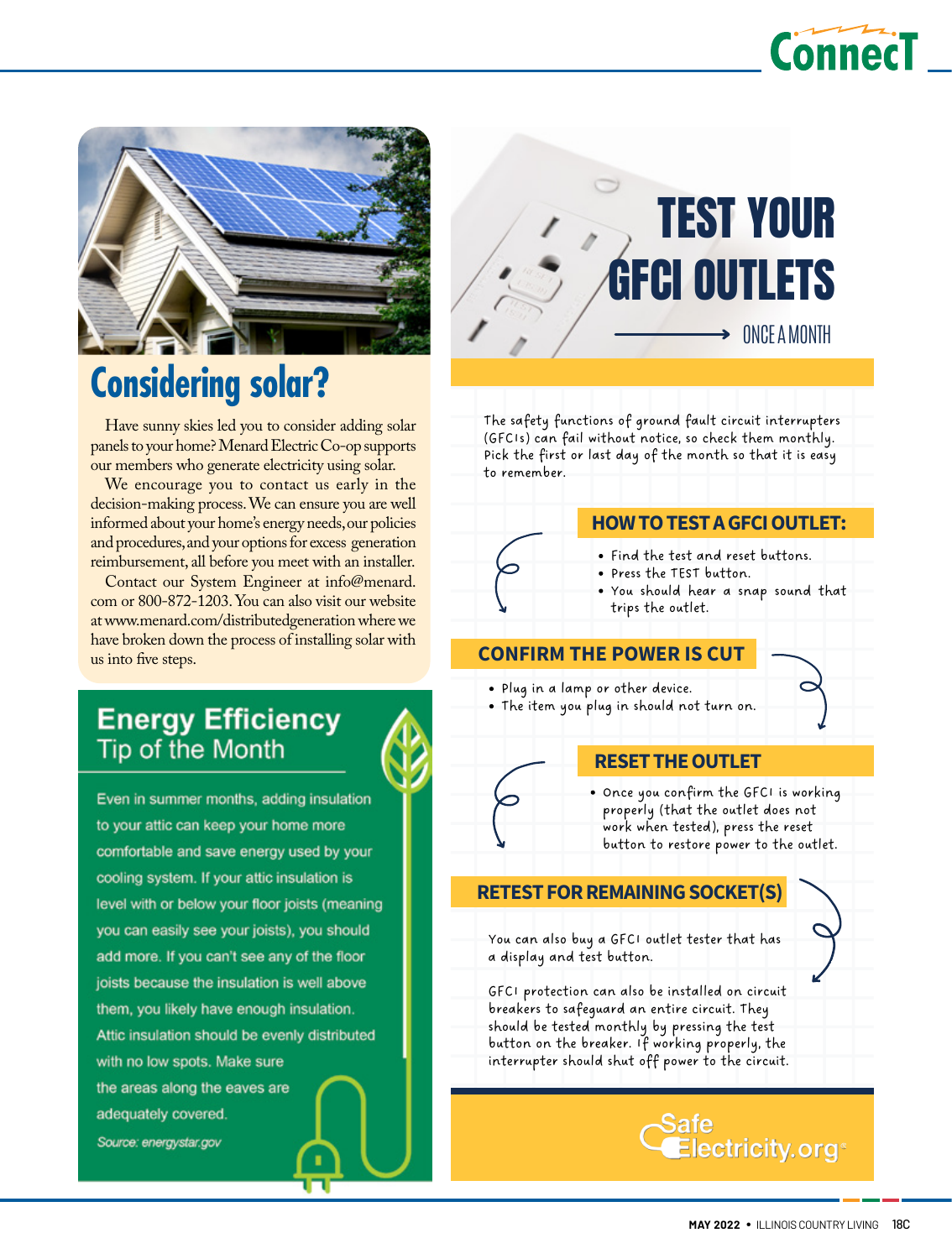



# **Considering solar?**

Have sunny skies led you to consider adding solar panels to your home? Menard Electric Co-op supports our members who generate electricity using solar.

We encourage you to contact us early in the decision-making process. We can ensure you are well informed about your home's energy needs, our policies and procedures, and your options for excess generation reimbursement, all before you meet with an installer.

Contact our System Engineer at info@menard. com or 800-872-1203. You can also visit our website at www.menard.com/distributedgeneration where we have broken down the process of installing solar with us into five steps.

### **Energy Efficiency** Tip of the Month

Even in summer months, adding insulation to your attic can keep your home more comfortable and save energy used by your cooling system. If your attic insulation is level with or below your floor joists (meaning you can easily see your joists), you should add more. If you can't see any of the floor joists because the insulation is well above them, you likely have enough insulation. Attic insulation should be evenly distributed with no low spots. Make sure the areas along the eaves are adequately covered. Source: energystar.gov



The safety functions of ground fault circuit interrupters (GFCIs) can fail without notice, so check them monthly. Pick the first or last day of the month so that it is easy to remember.

#### **HOWTOTESTAGFCIOUTLET:**

- Find the test and reset buttons.
- Press the TEST button.
	- You should hear a snap sound that trips the outlet.

#### **CONFIRM THE POWER IS CUT**

- Plug in a lamp or other device.
- The item you plug in should not turn on.

#### **RESETTHEOUTLET**

Once you confirm the GFCI is working properly (that the outlet does not work when tested), press the reset button to restore power to the outlet.

#### **RETEST FOR REMAINING SOCKET(S)**

You can also buy a GFCI outlet tester that has a display and test button.

GFCI protection can also be installed on circuit breakers to safeguard an entire circuit. They should be tested monthly by pressing the test button on the breaker. If working properly, the interrupter should shut off power to the circuit.

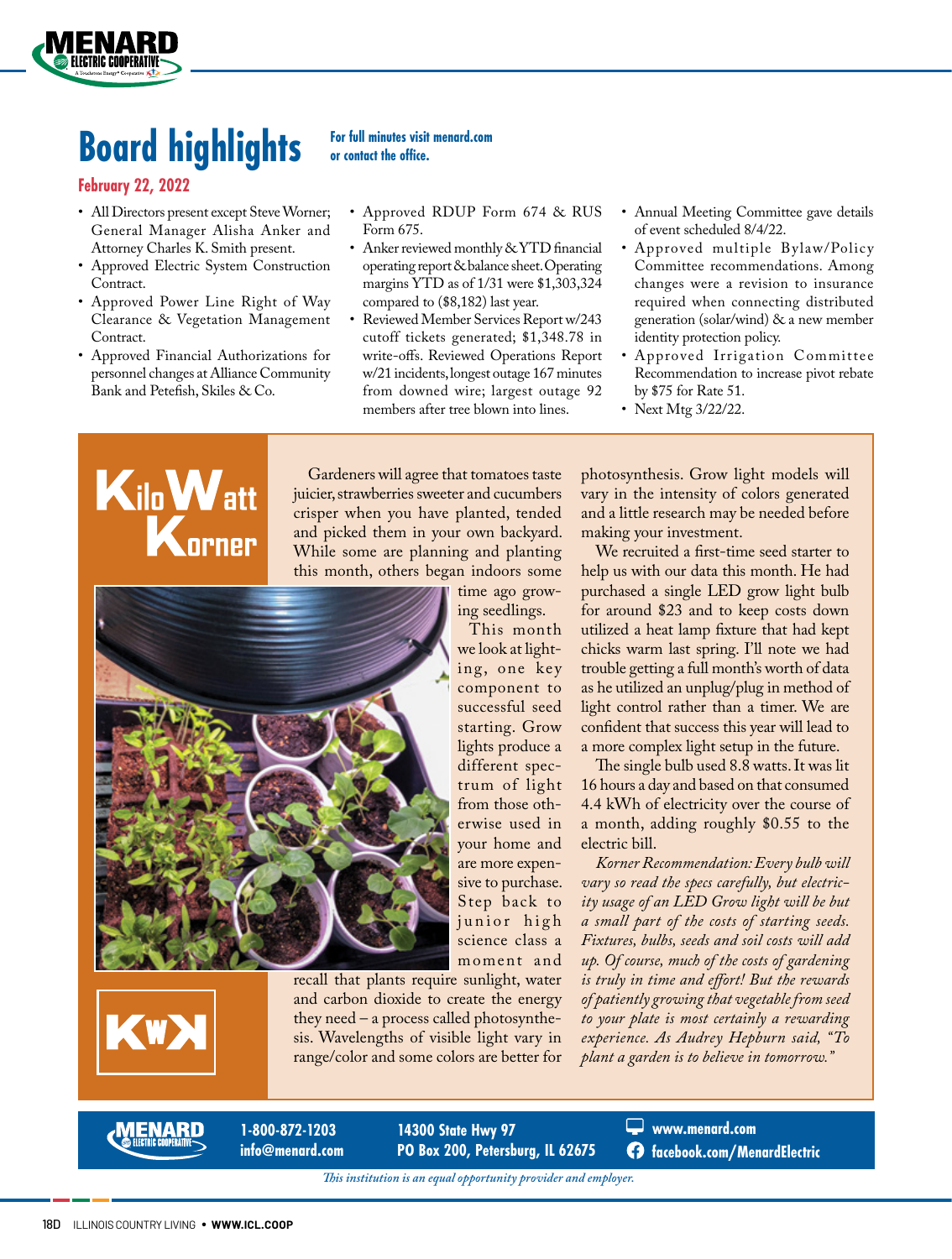

#### **February 22, 2022**

**FLECTRIC COOPERATIVI** 

- All Directors present except Steve Worner; General Manager Alisha Anker and Attorney Charles K. Smith present.
- Approved Electric System Construction Contract.
- Approved Power Line Right of Way Clearance & Vegetation Management Contract.
- Approved Financial Authorizations for personnel changes at Alliance Community Bank and Petefish, Skiles & Co.

# **or contact the office.**

- Approved RDUP Form 674 & RUS Form 675.
- Anker reviewed monthly & YTD financial operating report & balance sheet. Operating margins YTD as of 1/31 were \$1,303,324 compared to (\$8,182) last year.
- Reviewed Member Services Report w/243 cutoff tickets generated; \$1,348.78 in write-offs. Reviewed Operations Report w/21 incidents, longest outage 167 minutes from downed wire; largest outage 92 members after tree blown into lines.
- Annual Meeting Committee gave details of event scheduled 8/4/22.
- Approved multiple Bylaw/Policy Committee recommendations. Among changes were a revision to insurance required when connecting distributed generation (solar/wind) & a new member identity protection policy.
- Approved Irrigation Committee Recommendation to increase pivot rebate by \$75 for Rate 51.
- Next Mtg 3/22/22.



Gardeners will agree that tomatoes taste juicier, strawberries sweeter and cucumbers crisper when you have planted, tended and picked them in your own backyard. While some are planning and planting this month, others began indoors some

> time ago growing seedlings.

This month we look at lighting, one key component to successful seed starting. Grow lights produce a different spectrum of light from those otherwise used in your home and are more expensive to purchase. Step back to junior high science class a moment and

recall that plants require sunlight, water and carbon dioxide to create the energy they need – a process called photosynthesis. Wavelengths of visible light vary in range/color and some colors are better for photosynthesis. Grow light models will vary in the intensity of colors generated and a little research may be needed before making your investment.

We recruited a first-time seed starter to help us with our data this month. He had purchased a single LED grow light bulb for around \$23 and to keep costs down utilized a heat lamp fixture that had kept chicks warm last spring. I'll note we had trouble getting a full month's worth of data as he utilized an unplug/plug in method of light control rather than a timer. We are confident that success this year will lead to a more complex light setup in the future.

The single bulb used 8.8 watts. It was lit 16 hours a day and based on that consumed 4.4 kWh of electricity over the course of a month, adding roughly \$0.55 to the electric bill.

*Korner Recommendation: Every bulb will vary so read the specs carefully, but electricity usage of an LED Grow light will be but a small part of the costs of starting seeds. Fixtures, bulbs, seeds and soil costs will add up. Of course, much of the costs of gardening is truly in time and effort! But the rewards of patiently growing that vegetable from seed to your plate is most certainly a rewarding experience. As Audrey Hepburn said, "To plant a garden is to believe in tomorrow."*



**1-800-872-1203 info@menard.com**

**14300 State Hwy 97 PO Box 200, Petersburg, IL 62675** **www.menard.com facebook.com/MenardElectric**

*This institution is an equal opportunity provider and employer.*